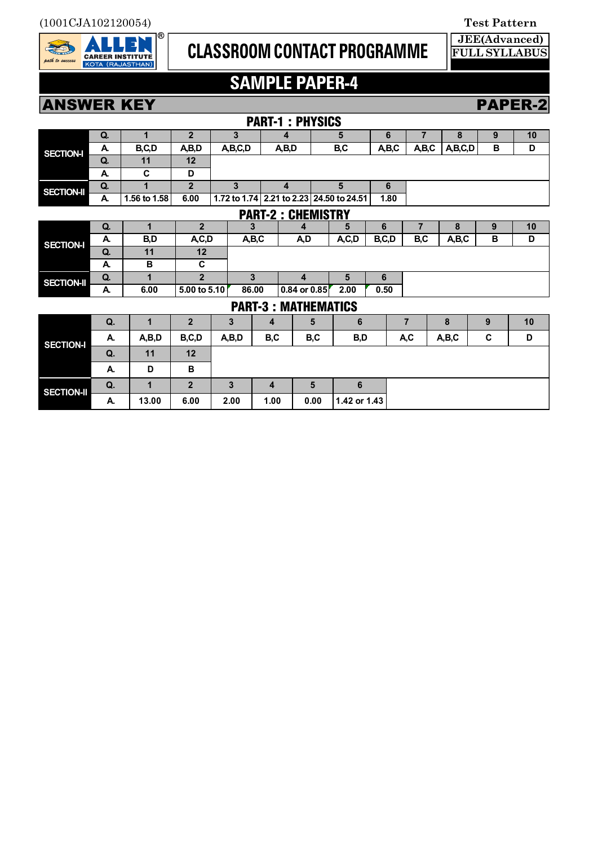

## **CLASSROOM CONTACT PROGRAMME**

**JEE(Advanced) FULL SYLLABUS**

## **SAMPLE PAPER-4**

**ANSWER KEY PAPER-2** 

|                            |             |              |                |              |      | <b>PART-1: PHYSICS</b>      |      |              |       |                |         |   |    |
|----------------------------|-------------|--------------|----------------|--------------|------|-----------------------------|------|--------------|-------|----------------|---------|---|----|
| <b>SECTION-I</b>           | Q.          | 1            | 2 <sup>2</sup> | 3            |      | 4                           |      | 5            |       | $\overline{7}$ | 8       | 9 | 10 |
|                            | A.          | B,C,D        | A,B,D          | A,B,C,D      |      | A,B,D                       |      | B,C          | A,B,C | A,B,C          | A,B,C,D | B | D  |
|                            | Q.          | 11           | 12             |              |      |                             |      |              |       |                |         |   |    |
|                            | A.          | C            | D              |              |      |                             |      |              |       |                |         |   |    |
| <b>SECTION-II</b>          | Q.          | 1            | $\overline{2}$ | $\mathbf{3}$ |      | $\overline{\mathbf{4}}$     |      | 5            | 6     |                |         |   |    |
|                            | A.          | 1.56 to 1.58 | 6.00           | 1.72 to 1.74 |      | 2.21 to 2.23 24.50 to 24.51 |      |              | 1.80  |                |         |   |    |
| <b>PART-2: CHEMISTRY</b>   |             |              |                |              |      |                             |      |              |       |                |         |   |    |
| <b>SECTION-I</b>           | Q.          | $\mathbf{1}$ | $\overline{2}$ | 3            |      | 4                           |      | 5            | 6     | $\overline{7}$ | 8       | 9 | 10 |
|                            | A.          | B,D          | A, C, D        | A,B,C        |      | A,D                         |      | A, C, D      | B,C,D | B,C            | A,B,C   | В | D  |
|                            | Q.          | 11           | 12             |              |      |                             |      |              |       |                |         |   |    |
|                            | A.          | В            | C              |              |      |                             |      |              |       |                |         |   |    |
| <b>SECTION-II</b>          | Q.          | 1            | $\overline{2}$ | 3            |      | 4                           |      | 5            | 6     |                |         |   |    |
|                            | A.          | 6.00         | 5.00 to 5.10   | 86.00        |      | 0.84 or 0.85                |      | 2.00         | 0.50  |                |         |   |    |
| <b>PART-3: MATHEMATICS</b> |             |              |                |              |      |                             |      |              |       |                |         |   |    |
| <b>SECTION-I</b>           | Q.<br>1     |              | $\overline{2}$ | 3            | 4    | 5                           |      | 6            |       | 7              | 8       | 9 | 10 |
|                            | A,B,D<br>А. |              | B,C,D          | A,B,D        |      | B,C<br>B,C                  |      | B,D          |       | A,C            | A,B,C   | C | D  |
|                            | Q.          | 11           | 12             |              |      |                             |      |              |       |                |         |   |    |
|                            | А.          | D            | B              |              |      |                             |      |              |       |                |         |   |    |
| <b>SECTION-II</b>          | Q.          | 1            | $\overline{2}$ | 3            | 4    |                             | 5    | 6            |       |                |         |   |    |
|                            | А.          | 13.00        | 6.00           | 2.00         | 1.00 |                             | 0.00 | 1.42 or 1.43 |       |                |         |   |    |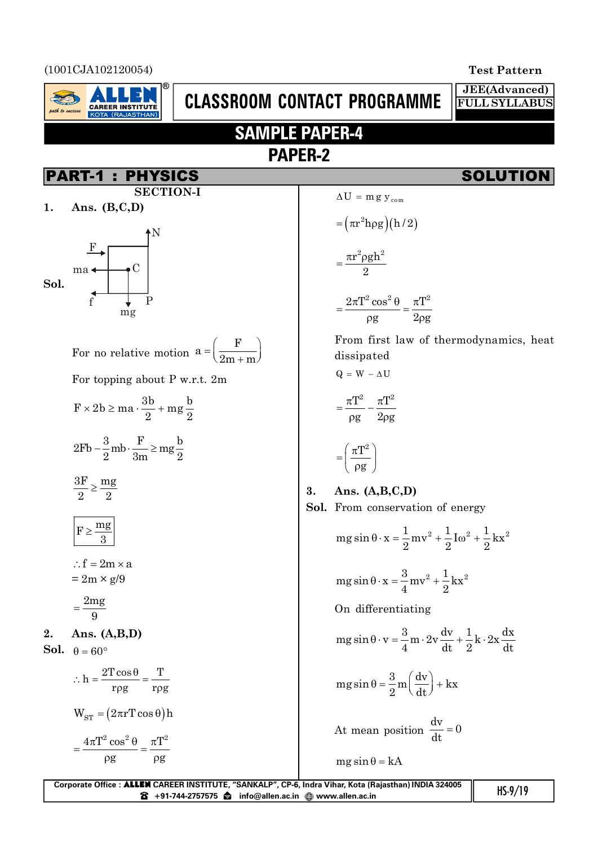(1001CJA102120054) **Test Pattern**



# **CLASSROOM CONTACT PROGRAMME**

## **SAMPLE PAPER-4 PAPER-2**

## SOLUTION

**JEE(Advanced) FULL SYLLABUS**

| <b>SECTION-I</b>                                                  | $\Delta$                       |
|-------------------------------------------------------------------|--------------------------------|
| Ans. $(B, C, D)$<br>1.                                            |                                |
| $\mathbf{F}$<br>$\mathcal C$<br>$ma \triangleleft$<br>Sol.        |                                |
| $\hat{\mathbf{f}}$<br>$\overline{P}$<br>mg                        |                                |
| For no relative motion $a = \left(\frac{F}{2m+m}\right)$          | F<br>$\mathbf d$               |
| For topping about P w.r.t. 2m                                     | $\mathsf{Q}$                   |
| $F \times 2b \ge ma \cdot \frac{3b}{2} + mg \frac{b}{2}$          |                                |
| $2Fb - \frac{3}{2}mb \cdot \frac{F}{3m} \ge mg\frac{b}{2}$        |                                |
| $\frac{3F}{2} \ge \frac{mg}{2}$                                   | 3.<br>A<br>Sol.<br>$\mathbf F$ |
| $F \geq \frac{mg}{3}$                                             | n                              |
| $\therefore f = 2m \times a$                                      |                                |
| $= 2m \times g/9$                                                 | n                              |
| $=\frac{2mg}{9}$                                                  | $\mathcal{O}$                  |
| Ans. $(A,B,D)$<br>2.                                              | n                              |
| Sol.<br>$\theta = 60^{\circ}$                                     |                                |
| $\therefore h = \frac{2T\cos\theta}{r\rho g} = \frac{T}{r\rho g}$ | n                              |
| $W_{ST} = (2\pi r T \cos \theta) h$                               | $\overline{A}$                 |
| $4\pi T^2 \cos^2 \theta$<br>$\pi T^2$                             |                                |

g g

 $\rho g \qquad \rho g$ 

 $=\frac{4\pi T^2\cos^2\theta}{\pi}=\frac{\pi}{2}$ 

$$
\Delta U = m g y_{com}
$$
  
\n
$$
= (\pi r^2 h \rho g)(h/2)
$$
  
\n
$$
= \frac{\pi r^2 \rho g h^2}{2}
$$
  
\n
$$
= \frac{2\pi T^2 \cos^2 \theta}{\rho g} = \frac{\pi T^2}{2\rho g}
$$
  
\nFrom first law of thermodynamics, heat dissipated  
\n
$$
Q = W - \Delta U
$$
  
\n
$$
= \frac{\pi T^2}{\rho g} - \frac{\pi T^2}{2\rho g}
$$
  
\n
$$
= \left(\frac{\pi T^2}{\rho g}\right)
$$
  
\n**3.** Ans. (A,B,C,D)  
\nSol. From conservation of energy  
\n
$$
mg \sin \theta \cdot x = \frac{1}{2}mv^2 + \frac{1}{2}I\omega^2 + \frac{1}{2}Kx^2
$$

$$
mg\sin\theta \cdot x = \frac{3}{4}mv^2 + \frac{1}{2}kx^2
$$

On differentiating

$$
mg\sin\theta\cdot v = \frac{3}{4}m\cdot 2v\frac{dv}{dt} + \frac{1}{2}k\cdot 2x\frac{dx}{dt}
$$

 $2^{\frac{1}{2}}$  2<sup>2</sup> 2  $\theta$  · x =  $\frac{1}{2}$  mv<sup>2</sup> +  $\frac{1}{2}$  Iω<sup>2</sup> + ·

$$
mg\sin\theta = \frac{3}{2}m\left(\frac{dv}{dt}\right) + kx
$$

At mean position  $\frac{dv}{dt} = 0$ dt  $=$ 

$$
mg\sin\theta = kA
$$

| Corporate Office : ALLEN CAREER INSTITUTE, "SANKALP", CP-6, Indra Vihar, Kota (Rajasthan) INDIA 324005 |           |
|--------------------------------------------------------------------------------------------------------|-----------|
|                                                                                                        | $HS-9/19$ |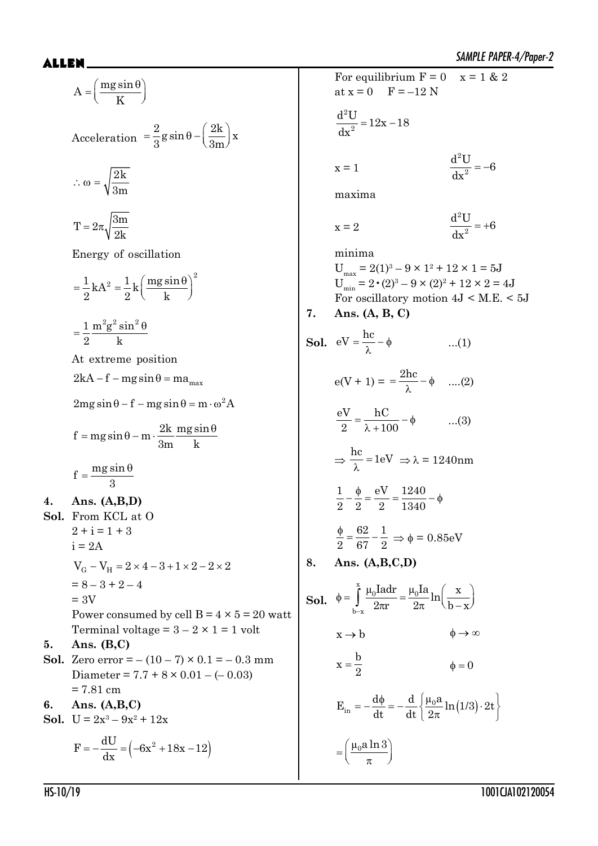$A = \frac{mg \sin}{\pi}$ K  $=\left(\frac{mg\sin\theta}{K}\right)^{7}$ Acceleration  $= \frac{2}{9}$ g sin  $\theta - \left(\frac{2k}{2m}\right)$ x  $=\frac{2}{3}g\sin\theta-\left(\frac{2k}{3m}\right)x$ 2k 3m  $\therefore \omega =$  $T = 2\pi \sqrt{\frac{3m}{\Omega}}$ 2k  $=2\pi$ Energy of oscillation  $\frac{1}{2}kA^2 = \frac{1}{8}k \left( \frac{mg \sin \theta}{h} \right)^2$  $2$   $2$   $k$  $=\frac{1}{2}kA^2=\frac{1}{2}k\left(\frac{mg\sin\theta}{k}\right)^2$  $1 \text{ m}^2 \text{g}^2 \text{sin}^2$ 2 k  $=\frac{1}{2}\frac{m^2g^2\sin^2\theta}{r^2}$ At extreme position  $2kA - f - mg\sin\theta = ma_{max}$  $2mg \sin \theta - f - mg \sin \theta = m \cdot \omega^2 A$  $f = mg \sin \theta - m \cdot \frac{2k}{r^2} \frac{mg \sin \theta}{r^2}$ 3m k  $=$  mg sin  $\theta$  – m  $\cdot \frac{2k}{2}$  mg sin  $\theta$  $f = \frac{mg \sin n}{r}$ 3  $=\frac{mg\sin\theta}{g}$ **4. Ans. (A,B,D) Sol.** From KCL at O  $2 + i = 1 + 3$  $i = 2A$  $V_G - V_H = 2 \times 4 - 3 + 1 \times 2 - 2 \times 2$  $= 8 - 3 + 2 - 4$  $= 3V$ Power consumed by cell  $B = 4 \times 5 = 20$  watt Terminal voltage =  $3 - 2 \times 1 = 1$  volt **5. Ans. (B,C) Sol.** Zero error =  $-(10-7) \times 0.1 = -0.3$  mm Diameter =  $7.7 + 8 \times 0.01 - (-0.03)$ = 7.81 cm **6. Ans. (A,B,C) Sol.**  $U = 2x^3 - 9x^2 + 12x$  $F = -\frac{dU}{dr} = \left(-6x^2 + 18x - 12\right)$ dx  $=-\frac{dC}{1} = \left(-6x^2 + 18x - 1\right)$ 

SAMPLE PAPER-4/Paper-2 \$//(1 For equilibrium  $F = 0$   $x = 1$  & 2 at  $x = 0$   $F = -12$  N 2  $\frac{d^2U}{dx^2} = 12x - 18$ dx  $= 12x$  $x = 1$ 2  $\frac{d^2U}{dx^2} = -6$ dx  $=$   $$ maxima  $x = 2$ 2  $\frac{d^2U}{dx^2} = +6$ dx  $= +$ minima  $U_{\text{max}} = 2(1)^3 - 9 \times 1^2 + 12 \times 1 = 5J$  $U_{\min} = 2 \cdot (2)^3 - 9 \times (2)^2 + 12 \times 2 = 4J$ For oscillatory motion  $4J < M.E. < 5J$ **7. Ans. (A, B, C) Sol.**  $eV = \frac{hc}{\lambda} - \phi$ ...(1)  $e(V + 1) = \frac{2hc}{\lambda} - \phi$  $\frac{\mathbf{m}}{\lambda}$  –  $\phi$  ....(2) eV hC 2  $\lambda + 100$  $=\frac{160}{\lambda + 100} - \phi$  ...(3)  $\Rightarrow$  $\frac{hc}{\lambda} = 1eV$  $\frac{\lambda}{\lambda}$  = 1eV  $\Rightarrow$   $\lambda$  = 1240nm 1 φ eV 1240 2 2 2 1340  $-\frac{\phi}{\circ} = \frac{eV}{\circ} = \frac{1240}{1240} - \phi$ 62 1 2 67 2  $\frac{\phi}{\phi} = \frac{62}{25} - \frac{1}{2} \Rightarrow \phi = 0.85 \text{eV}$ **8. Ans. (A,B,C,D) Sol.** x  $10^{\mathrm{Tau}} - \mu_0$  $b - x$  $\frac{\mu_0 \text{I} \cdot \text{I} \cdot \text{I} \cdot \text{I}}{2} = \frac{\mu_0 \text{I} \cdot \text{I}}{2} \ln \left( \frac{x}{1} \right)$  $\int_{-\mathbf{x}}^{\mathbf{y}} 2\pi \mathbf{r} \quad 2\pi \quad \mathbf{b}-\mathbf{x}$  $\phi = \int_{0}^{\infty} \frac{\mu_0 I a dr}{2\pi r} = \frac{\mu_0 I a}{2\pi} \ln\left(\frac{x}{b-x}\right)$  $x \rightarrow b$   $\phi \rightarrow \infty$  $x = \frac{b}{a}$ 2  $\phi = 0$  $E_{\text{in}} = -\frac{d\phi}{dt} = -\frac{d}{dt}\left\{\frac{\mu_0 a}{2\pi} \ln(1/3) \cdot 2t\right\}$ dt dt  $|2$  $=-\frac{d\phi}{dt}=-\frac{d}{dt}\left\{\frac{\mu_0 a}{2\pi}\ln(1/3)\cdot 2t\right\}$  $=\left(\frac{\mu_0 a \ln 3}{\pi}\right)^n$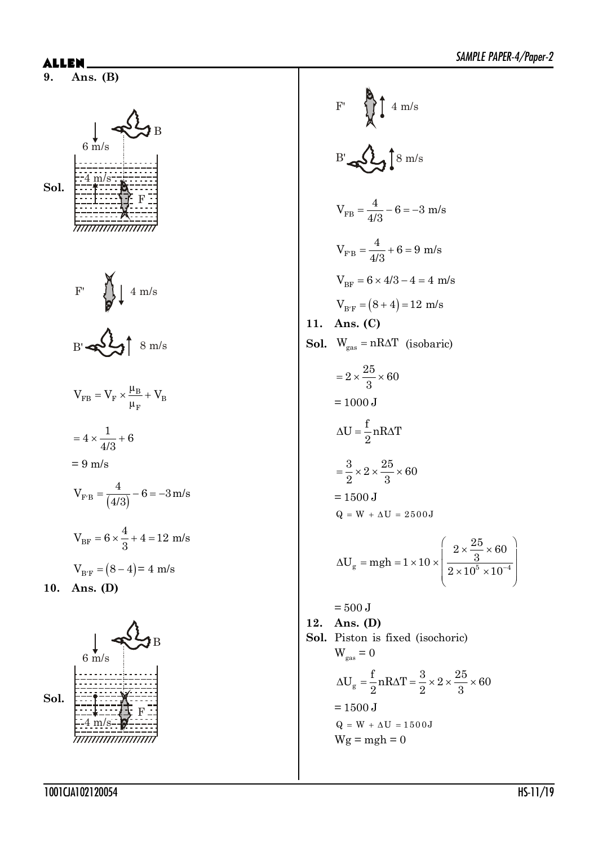

$$
B' \blacktriangleleft \bigcup_{i=1}^n \uparrow s_{m/s}
$$

B

F

$$
V_{FB} = V_{F} \times \frac{\mu_{B}}{\mu_{F}} + V_{B}
$$
  
= 4 \times \frac{1}{4/3} + 6  
= 9 m/s  

$$
V_{F'B} = \frac{4}{(4/3)} - 6 = -3 m/s
$$

$$
V_{BF} = 6 \times \frac{4}{3} + 4 = 12 m/s
$$

$$
V_{B'F} = (8 - 4) = 4 m/s
$$
**10. Ans. (D)**



 $F'$   $\left\{\begin{matrix} 0 \\ 1 \\ 0 \end{matrix}\right\}$  4 m/s  $B'$   $\mathbb{R}$   $\Omega$   $\mathbb{R}$   $\mathbb{R}$   $\mathbb{R}$   $\mathbb{R}$ FB  $V_{\text{FB}} = \frac{4}{10} - 6 = -3$  m/s 4/3  $=\frac{1}{10} - 6 = F'B$  $V_{F'B} = \frac{4}{4/3} + 6 = 9$  m/s  $V_{BF} = 6 \times 4/3 - 4 = 4$  m/s  $V_{B/F} = (8 + 4) = 12$  m/s **11. Ans. (C) Sol.**  $W_{gas} = nR\Delta T$  (isobaric)  $2 \times \frac{25}{2} \times 60$ 3  $=2\times\frac{20}{2}\times$  $= 1000$  J  $U = \frac{f}{g} n R \Delta T$ 2  $\Delta U = \frac{1}{2} n R \Delta$  $\frac{3}{2}\times2\times\frac{25}{2}\times60$  $2^{\sim}$  3  $=\frac{6}{3}\times2\times\frac{26}{3}\times0$  $= 1500 J$  $Q = W + \Delta U = 2500J$  $\frac{g}{g}$  –  $\frac{m g_H - 1}{2}$   $\sim$   $\frac{10^{5} \times 10^{5}}{2}$  $2 \times \frac{25}{2} \times 60$  $U_{\alpha}$  = mgh = 1 × 10 ×  $\frac{3}{2}$  $2 \times 10^5 \times 10^{-7}$  $\Delta U_{\rm g} = mgh = 1 \times 10 \times \left( \frac{2 \times \frac{25}{3} \times 60}{2 \times 10^5 \times 10^{-4}} \right)$  $\left(2 \times 10^5 \times 10^{-4}\right)$  $= 500$  J **12. Ans. (D) Sol.** Piston is fixed (isochoric)  $W_{\text{gas}} = 0$  $U_g = \frac{f}{2} n R \Delta T = \frac{3}{2} \times 2 \times \frac{25}{2} \times 60$  $\Delta U_{\alpha} = \frac{1}{2} n R \Delta T = \frac{9}{2} \times 2 \times \frac{26}{2} \times 6$ 

$$
2^{n+1}
$$
 2<sup>2</sup> 3  
= 1500 J  
 $Q = W + \Delta U = 1500 J$   
 $Wg = mgh = 0$ 

1001CJA102120054 HS-11/19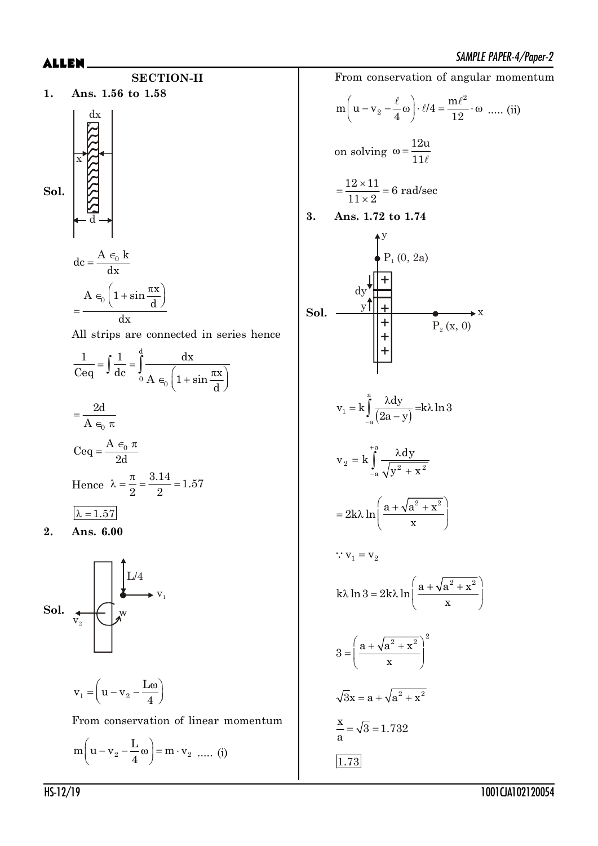





$$
dc = \frac{A \epsilon_0 k}{dx}
$$

$$
= \frac{A \epsilon_0 \left(1 + \sin \frac{\pi x}{d}\right)}{dx}
$$

All strips are connected in series hence

$$
\frac{1}{\text{Ceq}} = \int \frac{1}{\text{dc}} = \int_0^d \frac{\text{dx}}{A \epsilon_0 \left(1 + \sin \frac{\pi x}{d}\right)}
$$

$$
= \frac{2d}{A \epsilon_0 \pi}
$$

$$
\text{Ceq} = \frac{A \epsilon_0 \pi}{2d}
$$

$$
\text{Hence } \lambda = \frac{\pi}{2} = \frac{3.14}{2} = 1.57
$$

$$
\frac{\lambda = 1.57}{2}
$$
**2. Ans. 6.00**

$$
\prod_{\alpha} L/4
$$

**Sol.** 
$$
\begin{array}{c}\n\downarrow \\
\downarrow \\
\downarrow\n\end{array}
$$
  $\begin{array}{c}\n\downarrow \\
\downarrow \\
\downarrow\n\end{array}$   $\begin{array}{c}\n\downarrow \\
\downarrow \\
\downarrow\n\end{array}$ 

$$
\mathbf{v}_1 = \left(\mathbf{u} - \mathbf{v}_2 - \frac{\mathbf{L}\omega}{4}\right)
$$

From conservation of linear momentum

$$
m\left(u - v_2 - \frac{L}{4}\omega\right) = m \cdot v_2 \dots (i)
$$

From conservation of angular momentum 2  $m\left(u-v_2-\frac{\ell}{4}\omega\right)\cdot\ell/4=\frac{m}{1}$  $\left(u - v_2 - \frac{\ell}{4} \omega\right) \cdot \ell/4 = \frac{m\ell^2}{12} \cdot \omega \dots (ii)$ on solving 12u 11  $\omega = \frac{1}{2}$  $\ell$  $\frac{12 \times 11}{11 \times 10^{15}}$  = 6 rad/sec  $11 \times 2$  $=\frac{12\times}{11}$  $\times$ **3. Ans. 1.72 to 1.74 Sol. + + + + +** dy y  $P_1(0, 2a)$  $P_2(x, 0)$  $\frac{y\prod_{i=1}^{n}x_i}{y\prod_{i=1}^{n}x_i}$  $(2a - y)$ a 1 a  $v_1 = k \int_0^a \frac{\lambda dy}{(2 \lambda)^2} = k \lambda \ln 3$  $\int_{-a}^{a} (2a - y)$  $= k \int_{0}^{a} \frac{\lambda dy}{\lambda} dk$  $\int_{a} \frac{\lambda u_2}{2a}$ a  $2 - x \int_{-a}^{a} \sqrt{y^2 + x^2}$  $v_2 = k \int^{4a} \frac{\lambda dy}{\sqrt{2\pi}}$  $y^2 + x$  $\overline{+}$  $\overline{a}$  $= k \int^{4\pi} \frac{\lambda}{\lambda}$  $\int_{-a}^{\infty} \frac{\lambda u_y}{\sqrt{y^2 + a^2}}$  $2k\lambda \ln \left( \frac{a + \sqrt{a^2 + x^2}}{h} \right)$  $= 2k\lambda \ln \left( \frac{a + \sqrt{a^2 + x^2}}{x} \right)$  $\therefore$   $v_1 = v_2$  $k\lambda \ln 3 = 2k\lambda \ln \left( \frac{a + \sqrt{a^2 + x^2}}{2} \right)$  $\lambda \ln 3 = 2k\lambda \ln \left( \frac{a + \sqrt{a^2 + x^2}}{x} \right)$  $3 = \left(\frac{a + \sqrt{a^2 + x^2}}{a}\right)^2$ x  $\left( a + \sqrt{a^2 + x^2} \right)^2$  $=\left(\frac{a + v a + x}{x}\right)$  $\sqrt{3}x = a + \sqrt{a^2 + x^2}$  $\frac{x}{-} = \sqrt{3} = 1.732$ a  $=$ 1.73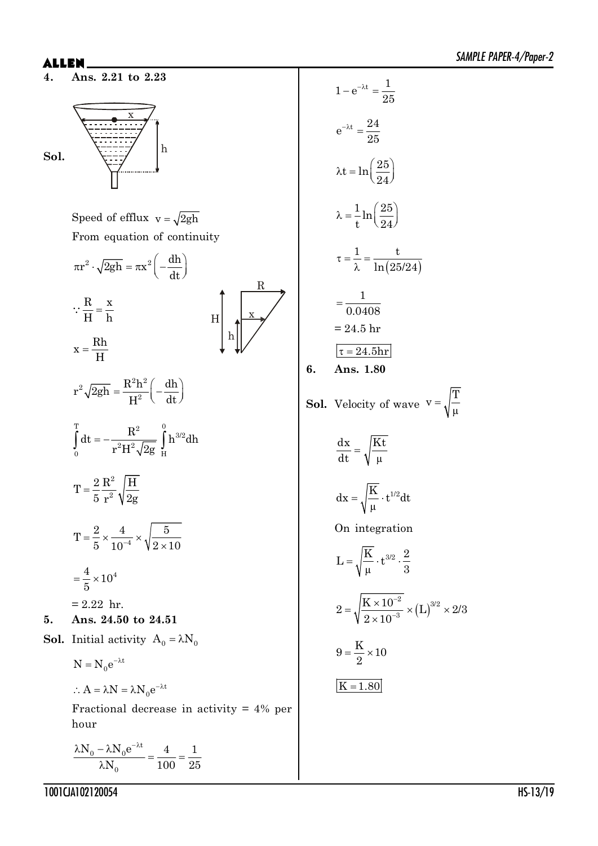**4. Ans. 2.21 to 2.23**

$$
\begin{array}{c}\n\hline\n\end{array}
$$

Speed of efflux  $v = \sqrt{2gh}$ From equation of continuity



 $\therefore A = \lambda N = \lambda N_0 e^{-\lambda t}$ 

Fractional decrease in activity = 4% per hour

$$
\frac{\lambda N_0 - \lambda N_0 e^{-\lambda t}}{\lambda N_0} = \frac{4}{100} = \frac{1}{25}
$$

$$
1 - e^{-\lambda t} = \frac{1}{25}
$$
  
\n
$$
e^{-\lambda t} = \frac{24}{25}
$$
  
\n
$$
\lambda t = \ln\left(\frac{25}{24}\right)
$$
  
\n
$$
\lambda = \frac{1}{t} \ln\left(\frac{25}{24}\right)
$$
  
\n
$$
\tau = \frac{1}{\lambda} = \frac{t}{\ln(25/24)}
$$
  
\n
$$
= \frac{1}{0.0408}
$$
  
\n
$$
= 24.5 \text{ hr}
$$
  
\n6. Ans. 1.80  
\nSoI. Velocity of wave  $v = \frac{dx}{dt} = \sqrt{\frac{Kt}{\mu}}$   
\n
$$
dx = \sqrt{\frac{K}{\mu}}
$$
  
\n
$$
dx = \sqrt{\frac{K}{\mu}}
$$

T

 $\mu$ 

**6. Ans. 1.80**

On integration

 $\mu$ 

$$
L = \sqrt{\frac{K}{\mu}} \cdot t^{3/2} \cdot \frac{2}{3}
$$
  

$$
2 = \sqrt{\frac{K \times 10^{-2}}{2 \times 10^{-3}}} \times (L)^{3/2} \times 2/3
$$
  

$$
9 = \frac{K}{2} \times 10
$$
  

$$
K = 1.80
$$

1001CJA102120054 HS-13/19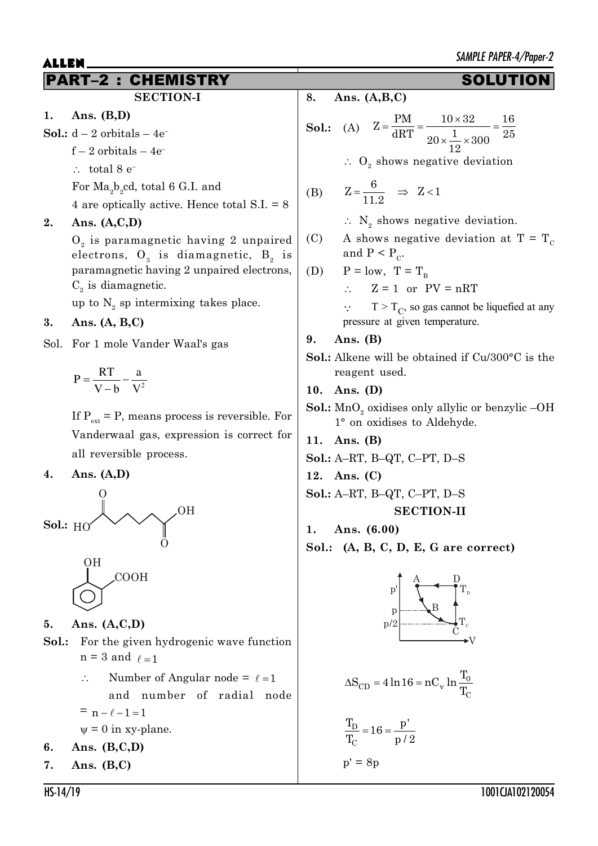## PART–2 : CHEMISTRY SOLUTION

### **SECTION-I**

- **1. Ans. (B,D)**
- **Sol.:**  $d 2$  orbitals  $-4e^$ 
	- $f 2$  orbitals  $-4e^-$
	- $\therefore$  total 8 e<sup>-</sup>
	- For  $\rm{Ma}_{2}b_{2}cd,$  total 6 G.I. and

4 are optically active. Hence total S.I. = 8

### **2. Ans. (A,C,D)**

 $0_{_2}$  is paramagnetic having 2 unpaired electrons,  $\mathbf{O}_{_{3}}$  is diamagnetic,  $\mathbf{B}_{_{2}}$  is paramagnetic having 2 unpaired electrons,  $C<sub>2</sub>$  is diamagnetic.

up to  $N_2$  sp intermixing takes place.

### **3. Ans. (A, B,C)**

Sol. For 1 mole Vander Waal's gas

$$
P = \frac{RT}{V - b} - \frac{a}{V^2}
$$

If  $P_{\text{ext}} = P$ , means process is reversible. For Vanderwaal gas, expression is correct for all reversible process.

#### **4. Ans. (A,D)**



**5. Ans. (A,C,D)**

- **Sol.:** For the given hydrogenic wave function  $n = 3$  and  $\ell = 1$ 
	- $\therefore$  Number of Angular node =  $\ell = 1$ and number of radial node  $= n - \ell - 1 = 1$  $\psi = 0$  in xy-plane.
- **6. Ans. (B,C,D)**
- **7. Ans. (B,C)**

**8. Ans. (A,B,C)**

**Sol.**: (A) 
$$
Z = \frac{PM}{dRT} = \frac{10 \times 32}{20 \times \frac{1}{12} \times 300} = \frac{16}{25}
$$

 $\therefore$  O<sub>2</sub> shows negative deviation

(B) 
$$
Z = \frac{6}{11.2} \Rightarrow Z < 1
$$

- $\therefore$  N<sub>2</sub> shows negative deviation.
- (C) A shows negative deviation at  $T = T_c$ and  $P < P_c$ .

(D) 
$$
P = low, T = T_B
$$

 $\therefore$  Z = 1 or PV = nRT

 $T > T_C$ , so gas cannot be liquefied at any pressure at given temperature.

### **9. Ans. (B)**

**Sol.:** Alkene will be obtained if Cu/300°C is the reagent used.

#### **10. Ans. (D)**

- **Sol.:**  $\text{MnO}_2$  oxidises only allylic or benzylic –OH 1° on oxidises to Aldehyde.
- **11. Ans. (B)**
- **Sol.:** A–RT, B–QT, C–PT, D–S
- **12. Ans. (C)**
- **Sol.:** A–RT, B–QT, C–PT, D–S

#### **SECTION-II**

- **1. Ans. (6.00)**
- **Sol.: (A, B, C, D, E, G are correct)**



$$
\Delta S_{CD} = 4 \ln 16 = nC_v \ln \frac{T_0}{T_C}
$$

$$
\frac{T_D}{T_C} = 16 = \frac{p'}{p/2}
$$
  

$$
p' = 8p
$$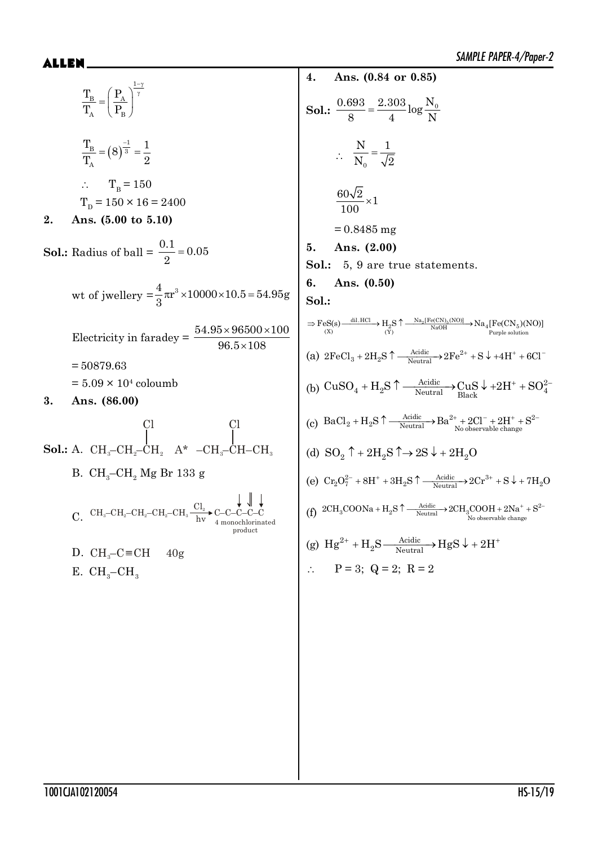1 B A A B T P T P J <sup>J</sup> § · ¨ ¸ © ¹ 1 B 3 A T 1 8 T 2 ? T<sup>B</sup> = 150 TD = 150 × 16 = 2400 **2. Ans. (5.00 to 5.10) Sol.:** Radius of ball = 0.1 0.05 2 wt of jwellery = <sup>4</sup> <sup>3</sup> r 10000 10.5 54.95g 3 Su u Electricity in faradey = 54.95 96500 100 96.5 108 u u u = 50879.63 = 5.09 × 10<sup>4</sup> coloumb **3. Ans. (86.00) Sol.:** A. CH –CH –CH <sup>322</sup> Cl A\* –CH –CH–CH 3 3 Cl B. CH<sup>3</sup> –CH<sup>2</sup> Mg Br 133 g C. CH3–CH –CH –CH –CH <sup>2223</sup> Cl<sup>2</sup> hv C–C–C–C–C 4 monochlorinated product D. CH –C CH 40g <sup>3</sup> E. CH<sup>3</sup> –CH<sup>3</sup> **4. Ans. (0.84 or 0.85) Sol.:** 0.693 2.303 <sup>N</sup><sup>0</sup> log 84N ? 0 N 1 N 2 60 2 <sup>1</sup> 100 u = 0.8485 mg **5. Ans. (2.00) Sol.:** 5, 9 are true statements. **6. Ans. (0.50) Sol.:** dil.HCl Na [Fe(CN) (NO)] 2 5 2 45 NaOH (X) (Y) Purple solution o n o FeS(s) H S Na [Fe(CN )(NO)] (a) Acidic <sup>2</sup> 3 2 Neutral 2FeCl 2H S 2Fe S 4H 6Cl n o p (b) Acidic <sup>2</sup> 42 4 Neutral Black CuSO H S CuS 2H SO n o p (c) Acidic 2 2 2 2 Neutral No observable change BaCl H S Ba 2Cl 2H S n o (d) SO 2H S 2S 2H O 22 2 n no p (e) 2 3 Acidic 27 2 2 Neutral Cr O 8H 3H S 2Cr S 7H O n o p (f) Acidic <sup>2</sup> 32 3 Neutral No observable change 2CH COONa H S 2CH COOH 2Na S n o (g) <sup>2</sup> Acidic <sup>2</sup> Neutral Hg H S HgS 2H o p ? P = 3; Q = 2; R = 2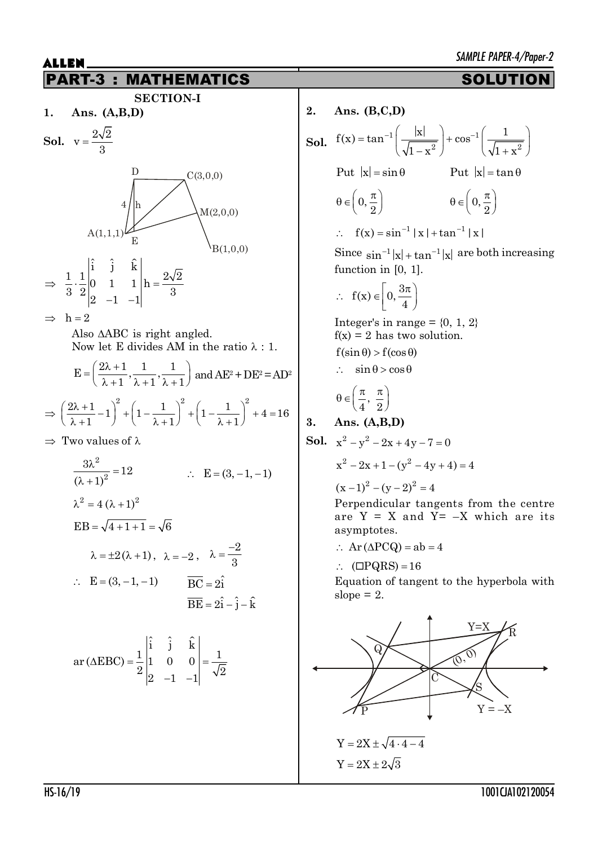

 $2\begin{vmatrix} 2 & -1 & -1 \end{vmatrix}$   $\sqrt{2}$ 

 $-1$   $-1$ 

| 2. | Ans. $(B,C,D)$                                                                                                     |  |  |  |  |  |
|----|--------------------------------------------------------------------------------------------------------------------|--|--|--|--|--|
|    | <b>Sol.</b> $f(x) = \tan^{-1}\left(\frac{ x }{\sqrt{1-x^2}}\right) + \cos^{-1}\left(\frac{1}{\sqrt{1+x^2}}\right)$ |  |  |  |  |  |
|    | Put $ x  = \tan \theta$<br>Put $ x  = \sin \theta$                                                                 |  |  |  |  |  |
|    | $\theta \in \left(0, \frac{\pi}{2}\right)$<br>$\theta \in \left(0, \frac{\pi}{2}\right)$                           |  |  |  |  |  |
|    | $f(x) = \sin^{-1}  x  + \tan^{-1}  x $<br>$\mathcal{L}$                                                            |  |  |  |  |  |
|    | Since $\sin^{-1} x  + \tan^{-1} x $ are both increasing<br>function in $[0, 1]$ .                                  |  |  |  |  |  |
|    | $\therefore$ f(x) $\in$ $\left 0, \frac{3\pi}{4}\right $                                                           |  |  |  |  |  |
|    | Integer's in range = $\{0, 1, 2\}$<br>$f(x) = 2$ has two solution.                                                 |  |  |  |  |  |
|    | $f(\sin \theta) > f(\cos \theta)$                                                                                  |  |  |  |  |  |
|    | $\therefore$ $\sin \theta > \cos \theta$                                                                           |  |  |  |  |  |
|    | $\theta \in \left(\frac{\pi}{4},\frac{\pi}{2}\right)$                                                              |  |  |  |  |  |
| 3. | Ans. $(A,B,D)$                                                                                                     |  |  |  |  |  |
|    | <b>Sol.</b> $x^2 - y^2 - 2x + 4y - 7 = 0$                                                                          |  |  |  |  |  |
|    | $x^{2} - 2x + 1 - (y^{2} - 4y + 4) = 4$                                                                            |  |  |  |  |  |
|    | $(x-1)^2 - (y-2)^2 = 4$                                                                                            |  |  |  |  |  |
|    | Perpendicular tangents from the centre<br>are $Y = X$ and $Y = -X$ which are its<br>asymptotes.                    |  |  |  |  |  |
|    | $\therefore$ Ar ( $\triangle PCQ$ ) = ab = 4                                                                       |  |  |  |  |  |
|    | $\therefore$ ( $\Box PQRS$ ) = 16                                                                                  |  |  |  |  |  |
|    | Equation of tangent to the hyperbola with<br>slope $= 2$ .                                                         |  |  |  |  |  |
|    |                                                                                                                    |  |  |  |  |  |



HS-16/19 1001CJA102120054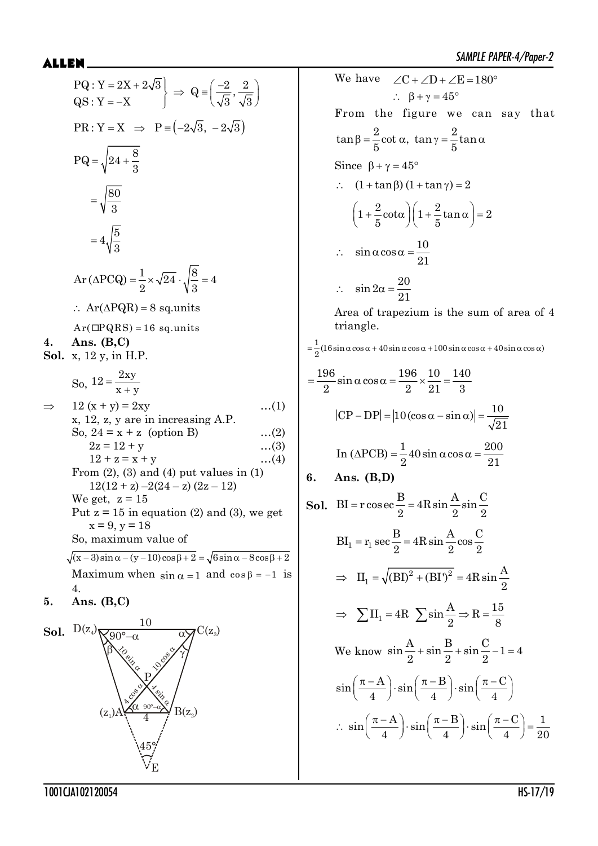PQ: Y = 2X + 2√3 | ⇒ Q = 
$$
\left(\frac{-2}{\sqrt{3}}, \frac{2}{\sqrt{3}}\right)
$$
  
\nQR: Y = -X  
\nPR: Y = X ⇒ P =  $(-2\sqrt{3}, -2\sqrt{3})$   
\nPQ =  $\sqrt{24 + \frac{8}{3}}$   
\n $= \sqrt{\frac{80}{3}}$   
\n $= 4\sqrt{\frac{5}{3}}$   
\nAr (ΔPCQ) =  $\frac{1}{2} \times \sqrt{24} \cdot \sqrt{\frac{8}{3}} = 4$   
\n $\therefore$  Ar(ΔPQR) = 8 sq. units  
\nAr(CDQRS) = 16 sq. units  
\n4. Ans. (B,C)  
\nSol. x, 12 y, in H.P.  
\nSo, 12 =  $\frac{2xy}{x + y}$   
\n $\Rightarrow$  12 (x + y) = 2xy ...(1)  
\n2z = 12 + y ...(2)  
\n12 + z = x + y ...(3)  
\n12 + z = x + y ...(4)  
\n12(12 + z) - 2(24 - z) (2z - 12)  
\nWe get z = 15 in equation (2) and (3), we get  
\nx = 9, y = 18  
\nSo, maximum value of  
\n $\sqrt{x - 3} \sin \alpha - (y - 10) \cos \beta + 2 = \sqrt{6} \sin \alpha - 8 \cos \beta + 2$   
\nMaximum when sin α = 1 and cos β = -1 is  
\n4.  
\n5. Ans. (B,C)  
\nSol. D(z<sub>4</sub>)  $\sqrt{\frac{60}{3}} - \alpha$  √ Q'(z<sub>3</sub>)  
\nA5/4  
\nA69

We have  $\angle C + \angle D + \angle E = 180^{\circ}$  $\therefore$   $\beta + \gamma = 45^{\circ}$ From the figure we can say that  $tan \beta = \frac{2}{2} \cot \alpha$ ,  $tan \gamma = \frac{2}{2} \tan \beta$  $5^{300 \text{ cm}}, 5^{111}$  $\beta = \frac{2}{5} \cot \alpha$ ,  $\tan \gamma = \frac{2}{5} \tan \alpha$ Since  $\beta + \gamma = 45^{\circ}$  $\therefore$   $(1 + \tan \beta) (1 + \tan \gamma) = 2$  $\left(1+\frac{2}{2}\cot\alpha\right)\left(1+\frac{2}{2}\tan\alpha\right)=2$  $\left(1+\frac{2}{5}\cot\alpha\right)\left(1+\frac{2}{5}\tan\alpha\right)=$  $\sin \alpha \cos \alpha = \frac{10}{24}$ 21  $\therefore$  sin  $\alpha \cos \alpha =$  $\therefore \quad \sin 2\alpha = \frac{20}{34}$ 21 Area of trapezium is the sum of area of 4 triangle.  $=\frac{1}{2}(16\sin\alpha\cos\alpha+40\sin\alpha\cos\alpha+100\sin\alpha\cos\alpha+40\sin\alpha\cos\alpha)$  $=\frac{196}{2} \sin \alpha \cos \alpha = \frac{196}{2} \times \frac{10}{2} = \frac{140}{2}$  $2 \t 2 \t 21 \t 3$  $\left|\text{CP} - \text{DP}\right| = \left|10\left(\cos \alpha - \sin \alpha\right)\right| = \frac{10}{\sqrt{2}}$ 21  $-DP = |10(\cos\alpha - \sin\alpha)| = -$ In  $(\triangle PCB) = \frac{1}{2} 40 \sin \alpha \cos \alpha = \frac{200}{25}$  $2^{2}$  21 **6. Ans. (B,D) Sol.** BI =  $r \cos \vartheta \cos \theta = 4R \sin \frac{A}{2} \sin \frac{C}{2}$ 2  $2^{\sim}$  2  $2$  $=$  $BI_1 = r_1 \sec \frac{B}{2} = 4R \sin \frac{A}{2} \cos \frac{C}{2}$ 2  $2^{202}$  2  $=$ 2  $(DI)^2$ 1  $II_1 = \sqrt{(BI)^2 + (BI)^2} = 4R \sin \frac{A}{2}$ 2  $\Rightarrow$   $II_1 = \sqrt{(BI)^2 + (BI)^2} = 4$  $II_1 = 4R$   $\sum \sin \frac{A}{2} \Rightarrow R = \frac{15}{8}$  $\Rightarrow \sum H_1 = 4R \sum \sin \frac{A}{2} \Rightarrow R = \frac{18}{8}$ We know  $\sin \frac{A}{2} + \sin \frac{B}{2} + \sin \frac{C}{2} - 1 = 4$ 2<sup>2</sup> $2$ <sup>2</sup>  $+\sin\frac{D}{2}+\sin\frac{D}{2}-1=$  $\sin\left(\frac{\pi - A}{\cdot}\right) \cdot \sin\left(\frac{\pi - B}{\cdot}\right) \cdot \sin\left(\frac{\pi - C}{\cdot}\right)$  $\left(\frac{\pi - A}{4}\right) \cdot \sin\left(\frac{\pi - B}{4}\right) \cdot \sin\left(\frac{\pi - C}{4}\right)$  $\sin\left(\frac{\pi-A}{\pi}\right) \cdot \sin\left(\frac{\pi-B}{\pi}\right) \cdot \sin\left(\frac{\pi-C}{\pi}\right) = \frac{1}{2}$  $4$  )  $(4)$   $(4)$   $(4)$  20  $\therefore$   $\sin\left(\frac{\pi - A}{4}\right) \cdot \sin\left(\frac{\pi - B}{4}\right) \cdot \sin\left(\frac{\pi - C}{4}\right) =$ 

1001CJA102120054 HS-17/19

 $\bigwedge^{\mathcal{C}}_{\mathbf{F}}$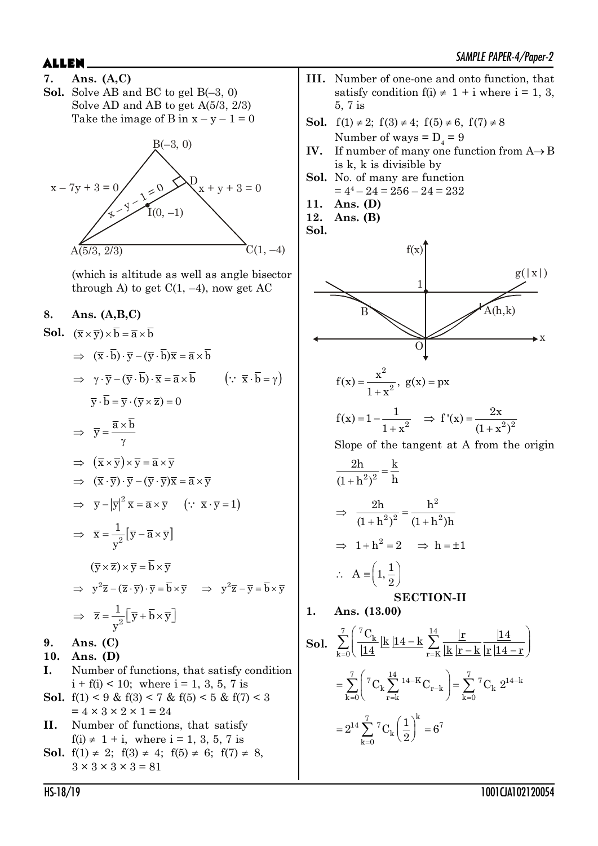**7. Ans. (A,C) Sol.** Solve AB and BC to gel B(–3, 0) Solve AD and AB to get A(5/3, 2/3) Take the image of B in  $x - y - 1 = 0$ 



(which is altitude as well as angle bisector through A) to get  $C(1, -4)$ , now get AC

### **8. Ans. (A,B,C)**

**Sol.**  $(\overline{x} \times \overline{y}) \times \overline{b} = \overline{a} \times \overline{b}$  $\Rightarrow (\overline{x} \cdot \overline{b}) \cdot \overline{v} - (\overline{v} \cdot \overline{b}) \overline{x} = \overline{a} \times \overline{b}$  $\Rightarrow \gamma \cdot \overline{y} - (\overline{y} \cdot \overline{b}) \cdot \overline{x} = \overline{a} \times \overline{b}$   $\left(\because \overline{x} \cdot \overline{b} = \gamma\right)$  $\overline{v} \cdot \overline{b} = \overline{v} \cdot (\overline{v} \times \overline{z}) = 0$  $\Rightarrow$   $\overline{y} = \frac{\overline{a} \times}{ }$ Y  $\overline{y} = \frac{\overline{a} \times b}{ }$  $\Rightarrow (\overline{x} \times \overline{v}) \times \overline{v} = \overline{a} \times \overline{v}$  $\Rightarrow (\overline{x} \cdot \overline{y}) \cdot \overline{y} - (\overline{y} \cdot \overline{y})\overline{x} = \overline{a} \times \overline{y}$  $\Rightarrow \overline{y} - |\overline{y}|^2 \overline{x} = \overline{a} \times \overline{y} \quad (\because \overline{x} \cdot \overline{y} = 1)$  $\Rightarrow$   $\overline{x} = \frac{1}{x^2} [\overline{y} - \overline{a} \times \overline{y}]$  $\bar{x} = \frac{1}{a} [\bar{y} - \bar{a} \times \bar{y}]$ y  $(\overline{v} \times \overline{z}) \times \overline{v} = \overline{b} \times \overline{v}$  $\Rightarrow y^2 \overline{z} - (\overline{z} \cdot \overline{y}) \cdot \overline{y} = \overline{b} \times \overline{y} \Rightarrow y^2 \overline{z} - \overline{y} = \overline{b} \times \overline{y}$  $\Rightarrow \overline{z} = \frac{1}{r^2} \left[ \overline{y} + \overline{b} \times \overline{y} \right]$ y **9. Ans. (C) 10. Ans. (D) I.** Number of functions, that satisfy condition

- $i + f(i) < 10$ ; where  $i = 1, 3, 5, 7$  is **Sol.**  $f(1) < 9 \& f(3) < 7 \& f(5) < 5 \& f(7) < 3$  $= 4 \times 3 \times 2 \times 1 = 24$
- **II.** Number of functions, that satisfy  $f(i) \neq 1 + i$ , where  $i = 1, 3, 5, 7$  is
- **Sol.**  $f(1) \neq 2$ ;  $f(3) \neq 4$ ;  $f(5) \neq 6$ ;  $f(7) \neq 8$ ,  $3 \times 3 \times 3 \times 3 = 81$
- **III.** Number of one-one and onto function, that satisfy condition  $f(i) \neq 1 + i$  where  $i = 1, 3$ , 5, 7 is
- **Sol.**  $f(1) \neq 2$ ;  $f(3) \neq 4$ ;  $f(5) \neq 6$ ,  $f(7) \neq 8$ Number of ways  $= D_4 = 9$
- **IV.** If number of many one function from  $A \rightarrow B$ is k, k is divisible by
- **Sol.** No. of many are function  $= 4^4 - 24 = 256 - 24 = 232$
- **11. Ans. (D)**
- **12. Ans. (B)**
- **Sol.**